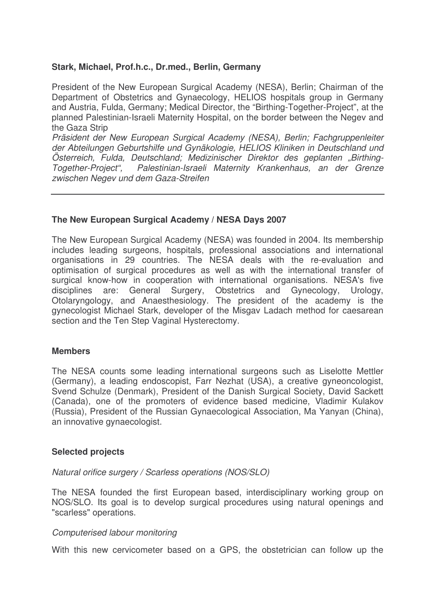# **Stark, Michael, Prof.h.c., Dr.med., Berlin, Germany**

President of the New European Surgical Academy (NESA), Berlin; Chairman of the Department of Obstetrics and Gynaecology, HELIOS hospitals group in Germany and Austria, Fulda, Germany; Medical Director, the "Birthing-Together-Project", at the planned Palestinian-Israeli Maternity Hospital, on the border between the Negev and the Gaza Strip

*Präsident der New European Surgical Academy (NESA), Berlin; Fachgruppenleiter der Abteilungen Geburtshilfe und Gynäkologie, HELIOS Kliniken in Deutschland und* Österreich, Fulda, Deutschland; Medizinischer Direktor des geplanten "Birthing-<br>Together-Project", Palestinian-Israeli Maternity Krankenhaus, an der Grenze *Together-Project", Palestinian-Israeli Maternity Krankenhaus, an der Grenze zwischen Negev und dem Gaza-Streifen*

# **The New European Surgical Academy / NESA Days 2007**

The New European Surgical Academy (NESA) was founded in 2004. Its membership includes leading surgeons, hospitals, professional associations and international organisations in 29 countries. The NESA deals with the re-evaluation and optimisation of surgical procedures as well as with the international transfer of surgical know-how in cooperation with international organisations. NESA's five disciplines are: General Surgery, Obstetrics and Gynecology, Urology, Otolaryngology, and Anaesthesiology. The president of the academy is the gynecologist Michael Stark, developer of the Misgav Ladach method for caesarean section and the Ten Step Vaginal Hysterectomy.

#### **Members**

The NESA counts some leading international surgeons such as Liselotte Mettler (Germany), a leading endoscopist, Farr Nezhat (USA), a creative gyneoncologist, Svend Schulze (Denmark), President of the Danish Surgical Society, David Sackett (Canada), one of the promoters of evidence based medicine, Vladimir Kulakov (Russia), President of the Russian Gynaecological Association, Ma Yanyan (China), an innovative gynaecologist.

### **Selected projects**

#### *Natural orifice surgery / Scarless operations (NOS/SLO)*

The NESA founded the first European based, interdisciplinary working group on NOS/SLO. Its goal is to develop surgical procedures using natural openings and "scarless" operations.

#### *Computerised labour monitoring*

With this new cervicometer based on a GPS, the obstetrician can follow up the